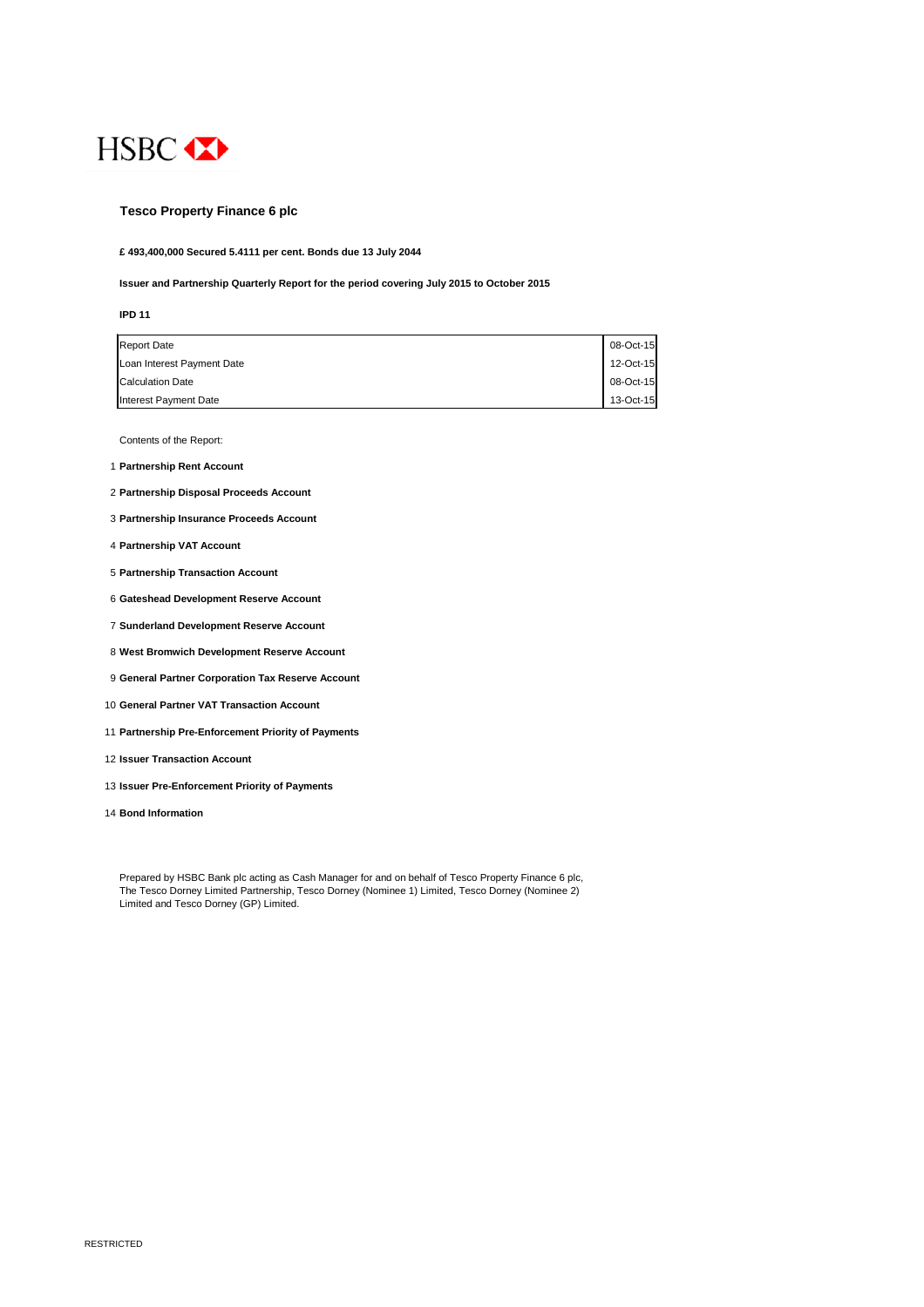

## **Tesco Property Finance 6 plc**

**£ 493,400,000 Secured 5.4111 per cent. Bonds due 13 July 2044**

**Issuer and Partnership Quarterly Report for the period covering July 2015 to October 2015**

#### **IPD 11**

| <b>Report Date</b>         | 08-Oct-15 |
|----------------------------|-----------|
| Loan Interest Payment Date | 12-Oct-15 |
| <b>Calculation Date</b>    | 08-Oct-15 |
| Interest Payment Date      | 13-Oct-15 |

Contents of the Report:

- 1 **Partnership Rent Account**
- 2 **Partnership Disposal Proceeds Account**
- 3 **Partnership Insurance Proceeds Account**
- 4 **Partnership VAT Account**
- 5 **Partnership Transaction Account**
- 6 **Gateshead Development Reserve Account**
- 7 **Sunderland Development Reserve Account**
- 8 **West Bromwich Development Reserve Account**
- 9 **General Partner Corporation Tax Reserve Account**
- 10 **General Partner VAT Transaction Account**
- 11 **Partnership Pre-Enforcement Priority of Payments**
- 12 **Issuer Transaction Account**
- 13 **Issuer Pre-Enforcement Priority of Payments**
- 14 **Bond Information**

Prepared by HSBC Bank plc acting as Cash Manager for and on behalf of Tesco Property Finance 6 plc, The Tesco Dorney Limited Partnership, Tesco Dorney (Nominee 1) Limited, Tesco Dorney (Nominee 2) Limited and Tesco Dorney (GP) Limited.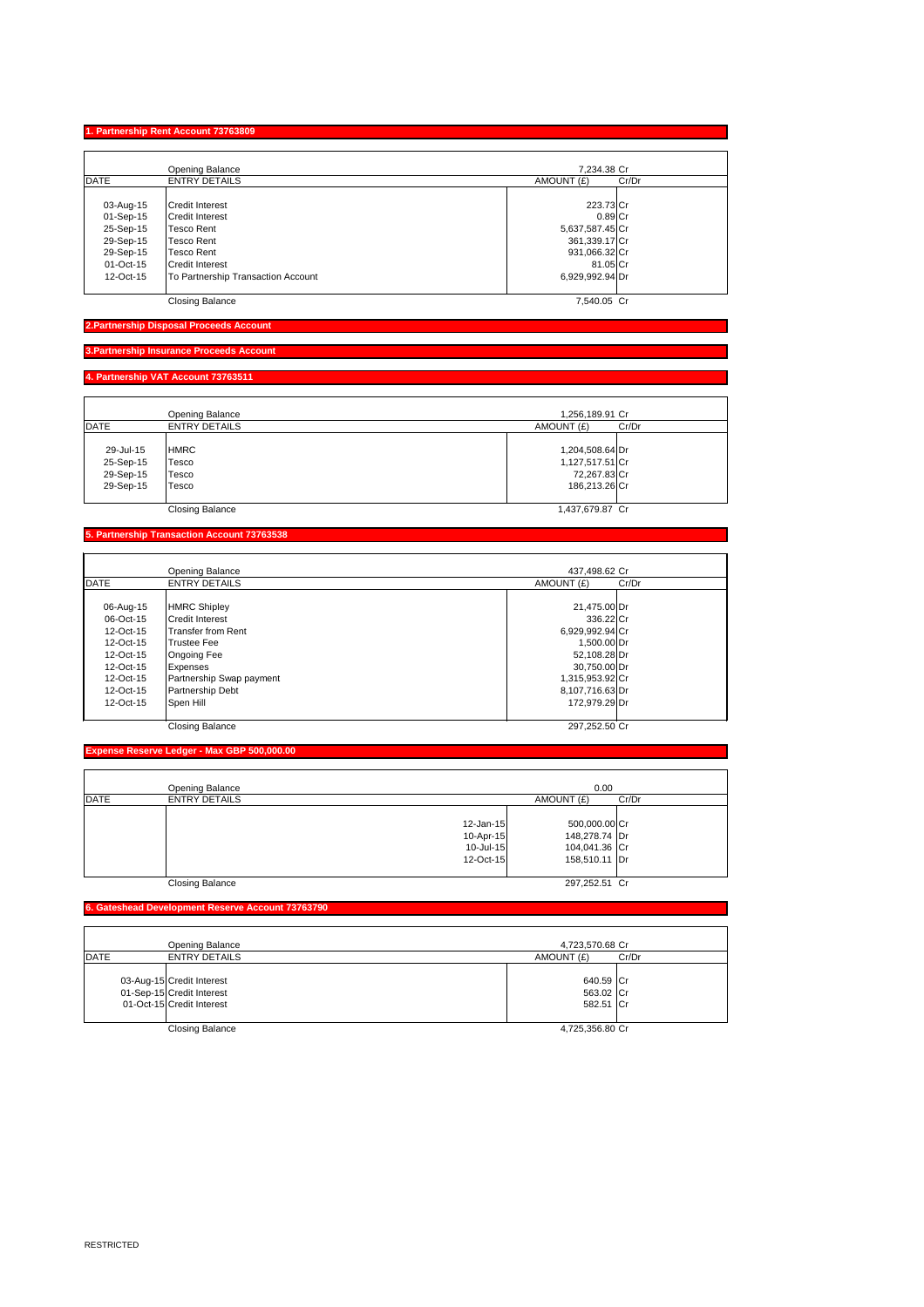## **1. Partnership Rent Account 73763809**

|             | <b>Opening Balance</b>             | 7,234.38 Cr         |  |
|-------------|------------------------------------|---------------------|--|
| <b>DATE</b> | <b>ENTRY DETAILS</b>               | Cr/Dr<br>AMOUNT (£) |  |
|             |                                    |                     |  |
| 03-Aug-15   | <b>Credit Interest</b>             | 223.73 Cr           |  |
| $01-Sep-15$ | <b>Credit Interest</b>             | $0.89$ Cr           |  |
| 25-Sep-15   | <b>Tesco Rent</b>                  | 5,637,587.45 Cr     |  |
| 29-Sep-15   | <b>Tesco Rent</b>                  | 361,339.17 Cr       |  |
| 29-Sep-15   | <b>Tesco Rent</b>                  | 931,066.32 Cr       |  |
| 01-Oct-15   | <b>Credit Interest</b>             | 81.05 Cr            |  |
| 12-Oct-15   | To Partnership Transaction Account | 6,929,992.94 Dr     |  |
|             | <b>Closing Balance</b>             | 7,540.05 Cr         |  |

**2.Partnership Disposal Proceeds Account**

## **3.Partnership Insurance Proceeds Account**

#### **4. Partnership VAT Account 73763511**

|             | <b>Opening Balance</b> | 1,256,189.91 Cr     |  |
|-------------|------------------------|---------------------|--|
| <b>DATE</b> | <b>ENTRY DETAILS</b>   | AMOUNT (£)<br>Cr/Dr |  |
|             |                        |                     |  |
| 29-Jul-15   | <b>HMRC</b>            | 1,204,508.64 Dr     |  |
| 25-Sep-15   | Tesco                  | 1,127,517.51 Cr     |  |
| 29-Sep-15   | Tesco                  | 72,267.83 Cr        |  |
| 29-Sep-15   | Tesco                  | 186,213.26 Cr       |  |
|             |                        |                     |  |
|             | <b>Closing Balance</b> | 1,437,679.87 Cr     |  |

## **5. Partnership Transaction Account 73763538**

|           | <b>Opening Balance</b>   | 437,498.62 Cr   |       |
|-----------|--------------------------|-----------------|-------|
| DATE      | <b>ENTRY DETAILS</b>     | AMOUNT (£)      | Cr/Dr |
|           |                          |                 |       |
| 06-Aug-15 | <b>HMRC Shipley</b>      | 21,475.00 Dr    |       |
| 06-Oct-15 | <b>Credit Interest</b>   | 336.22 Cr       |       |
| 12-Oct-15 | lTransfer from Rent      | 6,929,992.94 Cr |       |
| 12-Oct-15 | Trustee Fee              | 1,500.00 Dr     |       |
| 12-Oct-15 | <b>Ongoing Fee</b>       | 52,108.28 Dr    |       |
| 12-Oct-15 | <b>Expenses</b>          | 30,750.00 Dr    |       |
| 12-Oct-15 | Partnership Swap payment | 1,315,953.92 Cr |       |
| 12-Oct-15 | <b>Partnership Debt</b>  | 8,107,716.63 Dr |       |
| 12-Oct-15 | Spen Hill                | 172,979.29 Dr   |       |
|           | <b>Closing Balance</b>   | 297,252.50 Cr   |       |

|             | <b>Opening Balance</b> |                                                            | 0.00                                                             |       |  |
|-------------|------------------------|------------------------------------------------------------|------------------------------------------------------------------|-------|--|
| <b>DATE</b> | <b>ENTRY DETAILS</b>   |                                                            | AMOUNT (£)                                                       | Cr/Dr |  |
|             |                        | $12$ -Jan-15<br>10-Apr-15<br>$10 -$ Jul-15<br>$12$ -Oct-15 | 500,000.00 Cr<br>148,278.74 Dr<br>104,041.36 Cr<br>158,510.11 Dr |       |  |
|             | <b>Closing Balance</b> |                                                            | 297,252.51 Cr                                                    |       |  |

#### **6. Gateshead Development Reserve Account 73763790**

| <b>Opening Balance</b>                                                              | 4,723,570.68 Cr                     |       |
|-------------------------------------------------------------------------------------|-------------------------------------|-------|
| <b>DATE</b><br><b>ENTRY DETAILS</b>                                                 | AMOUNT (£)                          | Cr/Dr |
| 03-Aug-15 Credit Interest<br>01-Sep-15 Credit Interest<br>01-Oct-15 Credit Interest | 640.59 Cr<br>563.02 Cr<br>582.51 Cr |       |
| <b>Closing Balance</b>                                                              | 4,725,356.80 Cr                     |       |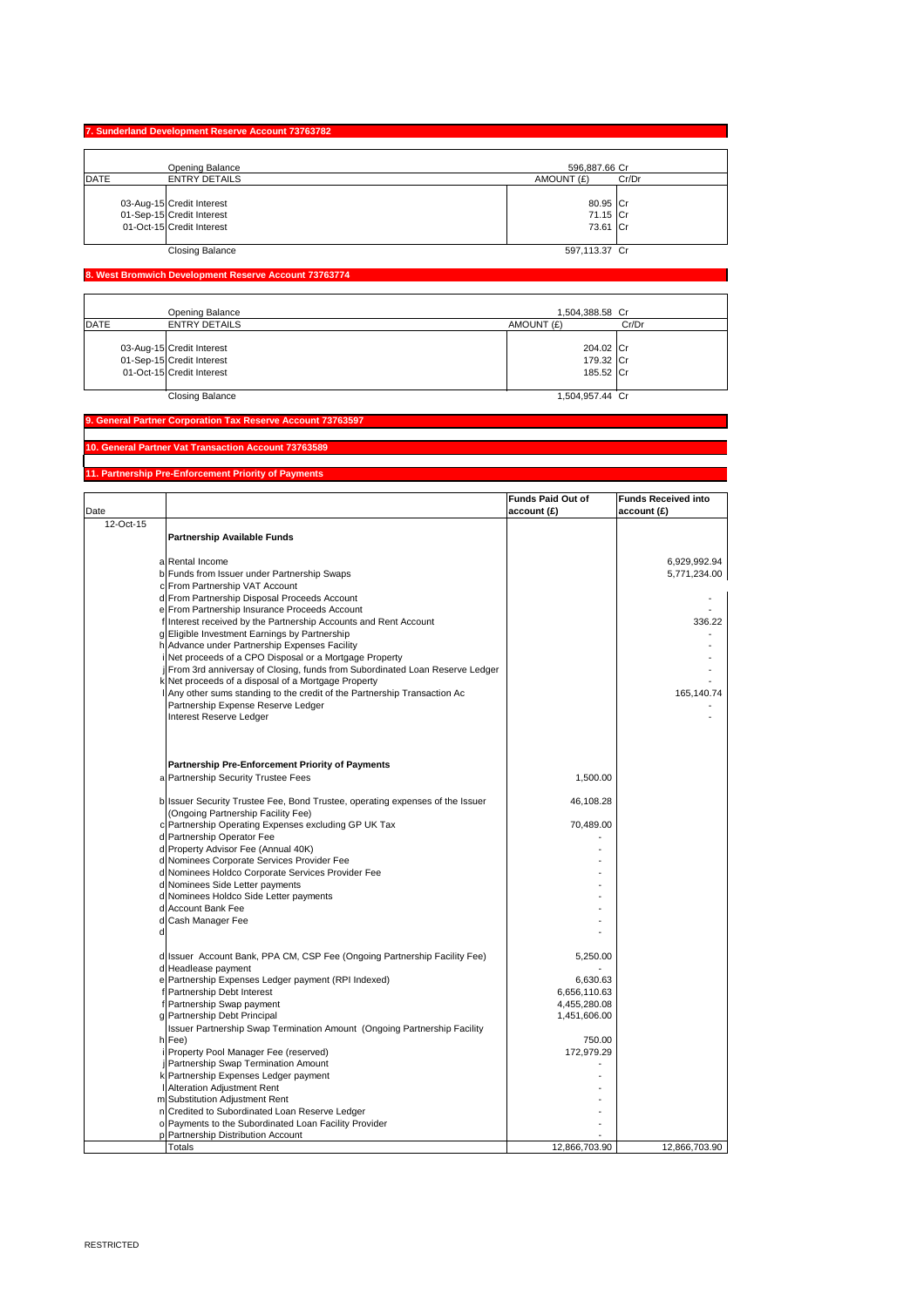# **7. Sunderland Development Reserve Account 73763782**

| <b>Opening Balance</b> |                                                                                     | 596,887.66 Cr                    |       |
|------------------------|-------------------------------------------------------------------------------------|----------------------------------|-------|
| DATE                   | <b>ENTRY DETAILS</b>                                                                | AMOUNT (£)                       | Cr/Dr |
|                        | 03-Aug-15 Credit Interest<br>01-Sep-15 Credit Interest<br>01-Oct-15 Credit Interest | 80.95 Cr<br>71.15 Cr<br>73.61 Cr |       |
|                        | <b>Closing Balance</b>                                                              | 597,113.37 Cr                    |       |

## **8. West Bromwich Development Reserve Account 73763774**

| DATE | <b>Opening Balance</b><br><b>ENTRY DETAILS</b> | 1,504,388.58 Cr<br>AMOUNT (£) | Cr/Dr |
|------|------------------------------------------------|-------------------------------|-------|
|      |                                                |                               |       |
|      | 03-Aug-15 Credit Interest                      | 204.02 Cr                     |       |
|      | 01-Sep-15 Credit Interest                      | 179.32 Cr                     |       |
|      | 01-Oct-15 Credit Interest                      | 185.52 Cr                     |       |
|      |                                                |                               |       |
|      | <b>Closing Balance</b>                         | 1,504,957.44 Cr               |       |

### **9. General Partner Corporation Tax Reserve Account 73763597**

**10. General Partner Vat Transaction Account 73763589**

## **11. Partnership Pre-Enforcement Priority of Payments**

|           |                                                                                      | <b>Funds Paid Out of</b> | <b>Funds Received into</b> |
|-----------|--------------------------------------------------------------------------------------|--------------------------|----------------------------|
| Date      |                                                                                      | account(E)               | account(E)                 |
| 12-Oct-15 |                                                                                      |                          |                            |
|           | <b>Partnership Available Funds</b>                                                   |                          |                            |
|           |                                                                                      |                          |                            |
|           | a Rental Income                                                                      |                          | 6,929,992.94               |
|           | b Funds from Issuer under Partnership Swaps                                          |                          | 5,771,234.00               |
|           | c From Partnership VAT Account                                                       |                          |                            |
|           | d From Partnership Disposal Proceeds Account                                         |                          |                            |
|           | e From Partnership Insurance Proceeds Account                                        |                          |                            |
|           | f Interest received by the Partnership Accounts and Rent Account                     |                          | 336.22                     |
|           | g Eligible Investment Earnings by Partnership                                        |                          |                            |
|           | h Advance under Partnership Expenses Facility                                        |                          |                            |
|           | i Net proceeds of a CPO Disposal or a Mortgage Property                              |                          |                            |
|           | j From 3rd anniversay of Closing, funds from Subordinated Loan Reserve Ledger        |                          |                            |
|           | k Net proceeds of a disposal of a Mortgage Property                                  |                          |                            |
|           | I Any other sums standing to the credit of the Partnership Transaction Ac            |                          | 165,140.74                 |
|           | Partnership Expense Reserve Ledger                                                   |                          |                            |
|           | Interest Reserve Ledger                                                              |                          |                            |
|           |                                                                                      |                          |                            |
|           |                                                                                      |                          |                            |
|           |                                                                                      |                          |                            |
|           | <b>Partnership Pre-Enforcement Priority of Payments</b>                              |                          |                            |
|           | a Partnership Security Trustee Fees                                                  | 1,500.00                 |                            |
|           |                                                                                      |                          |                            |
|           | b Issuer Security Trustee Fee, Bond Trustee, operating expenses of the Issuer        | 46,108.28                |                            |
|           | (Ongoing Partnership Facility Fee)                                                   |                          |                            |
|           | c Partnership Operating Expenses excluding GP UK Tax                                 | 70,489.00                |                            |
|           | d Partnership Operator Fee                                                           |                          |                            |
|           | d Property Advisor Fee (Annual 40K)                                                  |                          |                            |
|           | d Nominees Corporate Services Provider Fee                                           |                          |                            |
|           | d Nominees Holdco Corporate Services Provider Fee<br>d Nominees Side Letter payments |                          |                            |
|           | d Nominees Holdco Side Letter payments                                               |                          |                            |
|           | d Account Bank Fee                                                                   |                          |                            |
|           | d Cash Manager Fee                                                                   |                          |                            |
|           |                                                                                      |                          |                            |
|           |                                                                                      |                          |                            |
|           | d Issuer Account Bank, PPA CM, CSP Fee (Ongoing Partnership Facility Fee)            | 5,250.00                 |                            |
|           | d Headlease payment                                                                  |                          |                            |
|           | e Partnership Expenses Ledger payment (RPI Indexed)                                  | 6,630.63                 |                            |
|           | f Partnership Debt Interest                                                          | 6,656,110.63             |                            |
|           | f Partnership Swap payment                                                           | 4,455,280.08             |                            |
|           | g Partnership Debt Principal                                                         | 1,451,606.00             |                            |
|           | Issuer Partnership Swap Termination Amount (Ongoing Partnership Facility             |                          |                            |
|           | h Fee)                                                                               | 750.00                   |                            |
|           | i Property Pool Manager Fee (reserved)                                               | 172,979.29               |                            |
|           | j Partnership Swap Termination Amount                                                |                          |                            |
|           | k Partnership Expenses Ledger payment                                                |                          |                            |
|           | <b>I</b> Alteration Adjustment Rent                                                  |                          |                            |
|           | m Substitution Adjustment Rent                                                       |                          |                            |
|           | n Credited to Subordinated Loan Reserve Ledger                                       |                          |                            |
|           | o Payments to the Subordinated Loan Facility Provider                                |                          |                            |
|           | p Partnership Distribution Account                                                   |                          |                            |
|           | <b>Totals</b>                                                                        | 12,866,703.90            | 12,866,703.90              |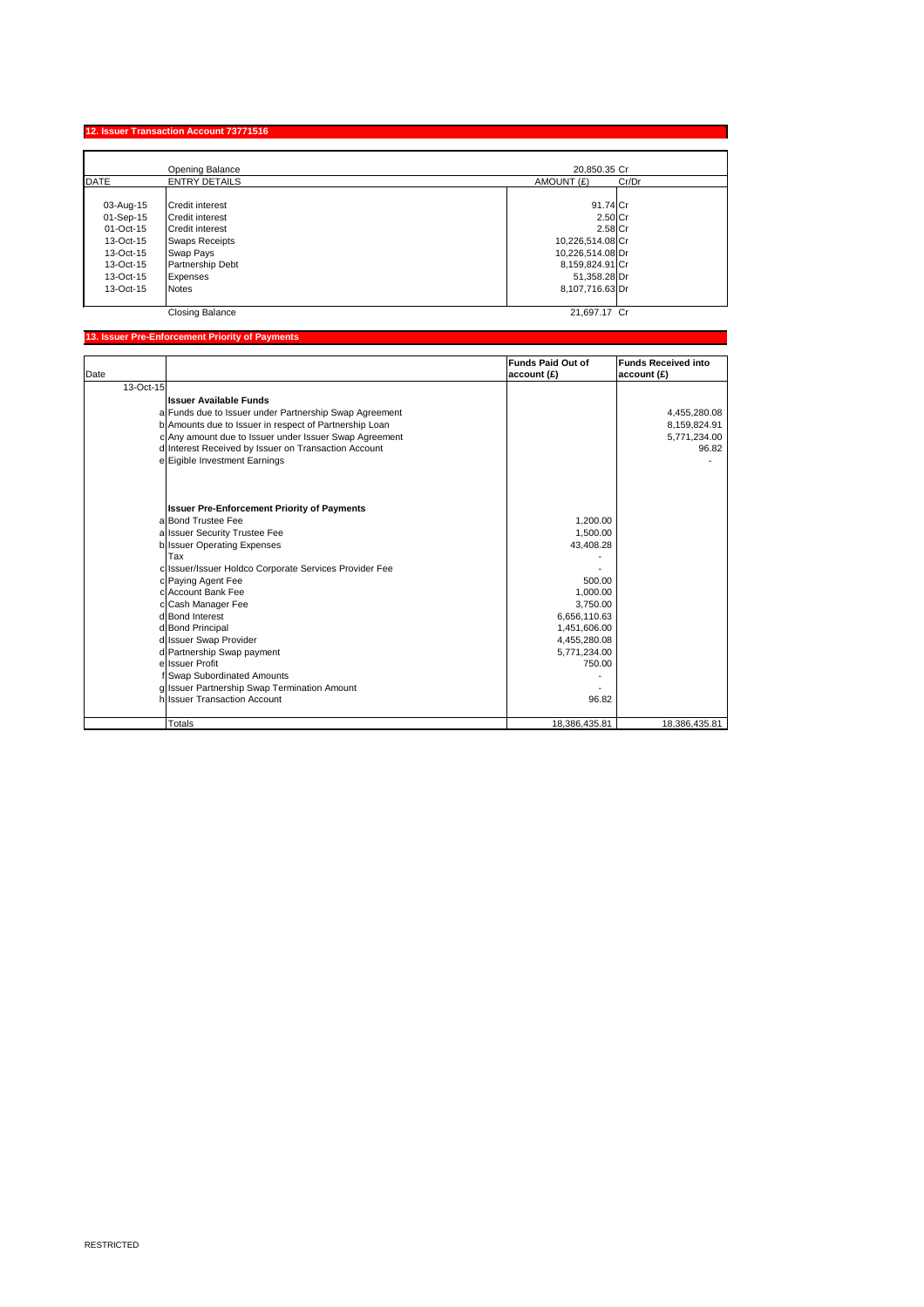RESTRICTED

# **12. Issuer Transaction Account 73771516**

|           | <b>Opening Balance</b>  | 20,850.35 Cr        |  |
|-----------|-------------------------|---------------------|--|
| DATE      | <b>ENTRY DETAILS</b>    | AMOUNT (£)<br>Cr/Dr |  |
|           |                         |                     |  |
| 03-Aug-15 | <b>ICredit interest</b> | $91.74$ Cr          |  |
| 01-Sep-15 | <b>Credit interest</b>  | $2.50$ Cr           |  |
| 01-Oct-15 | <b>Credit interest</b>  | $2.58$ Cr           |  |
| 13-Oct-15 | <b>Swaps Receipts</b>   | 10,226,514.08 Cr    |  |
| 13-Oct-15 | <b>Swap Pays</b>        | 10,226,514.08 Dr    |  |
| 13-Oct-15 | <b>Partnership Debt</b> | 8,159,824.91 Cr     |  |
| 13-Oct-15 | Expenses                | 51,358.28 Dr        |  |
| 13-Oct-15 | <b>Notes</b>            | 8,107,716.63Dr      |  |
|           |                         |                     |  |
|           | <b>Closing Balance</b>  | 21,697.17 Cr        |  |

# **13. Issuer Pre-Enforcement Priority of Payments**

|           |                                                        | <b>Funds Paid Out of</b> | <b>Funds Received into</b> |
|-----------|--------------------------------------------------------|--------------------------|----------------------------|
| Date      |                                                        | account(E)               | account(E)                 |
| 13-Oct-15 |                                                        |                          |                            |
|           | <b>Issuer Available Funds</b>                          |                          |                            |
|           | a Funds due to Issuer under Partnership Swap Agreement |                          | 4,455,280.08               |
|           | b Amounts due to Issuer in respect of Partnership Loan |                          | 8,159,824.91               |
|           | c Any amount due to Issuer under Issuer Swap Agreement |                          | 5,771,234.00               |
|           | d Interest Received by Issuer on Transaction Account   |                          | 96.82                      |
|           | e Eigible Investment Earnings                          |                          |                            |
|           |                                                        |                          |                            |
|           | <b>Issuer Pre-Enforcement Priority of Payments</b>     |                          |                            |
|           | alBond Trustee Fee                                     | 1,200.00                 |                            |
|           | a Issuer Security Trustee Fee                          | 1,500.00                 |                            |
|           | b Issuer Operating Expenses                            | 43,408.28                |                            |
|           | Tax                                                    |                          |                            |
|           | c Issuer/Issuer Holdco Corporate Services Provider Fee |                          |                            |
|           | c Paying Agent Fee                                     | 500.00                   |                            |
|           | clAccount Bank Fee                                     | 1,000.00                 |                            |
|           | c Cash Manager Fee                                     | 3,750.00                 |                            |
|           | d Bond Interest                                        | 6,656,110.63             |                            |
|           | d Bond Principal                                       | 1,451,606.00             |                            |
|           | d Issuer Swap Provider                                 | 4,455,280.08             |                            |
|           | d Partnership Swap payment                             | 5,771,234.00             |                            |
|           | ellssuer Profit                                        | 750.00                   |                            |
|           | f Swap Subordinated Amounts                            |                          |                            |
|           | g Issuer Partnership Swap Termination Amount           |                          |                            |
|           | h Issuer Transaction Account                           | 96.82                    |                            |
|           | <b>Totals</b>                                          | 18,386,435.81            | 18,386,435.81              |